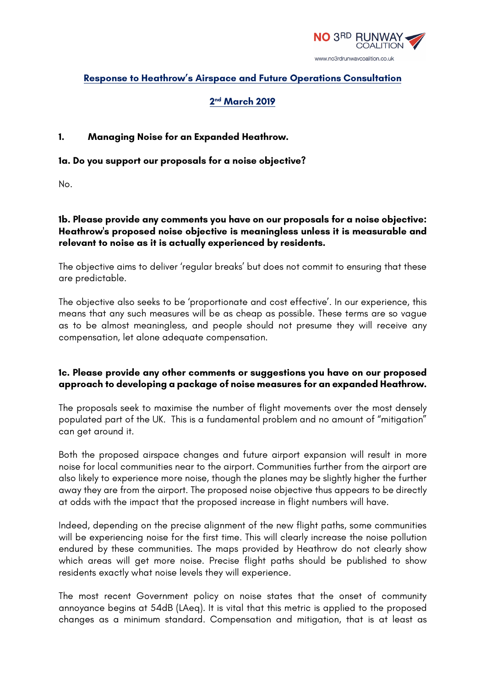

# **Response to Heathrow's Airspace and Future Operations Consultation**

# **2nd March 2019**

## **1. Managing Noise for an Expanded Heathrow.**

#### **1a. Do you support our proposals for a noise objective?**

No.

## **1b. Please provide any comments you have on our proposals for a noise objective: Heathrow's proposed noise objective is meaningless unless it is measurable and relevant to noise as it is actually experienced by residents.**

The objective aims to deliver 'regular breaks' but does not commit to ensuring that these are predictable.

The objective also seeks to be 'proportionate and cost effective'. In our experience, this means that any such measures will be as cheap as possible. These terms are so vague as to be almost meaningless, and people should not presume they will receive any compensation, let alone adequate compensation.

## **1c. Please provide any other comments or suggestions you have on our proposed approach to developing a package of noise measures for an expanded Heathrow.**

The proposals seek to maximise the number of flight movements over the most densely populated part of the UK. This is a fundamental problem and no amount of "mitigation" can get around it.

Both the proposed airspace changes and future airport expansion will result in more noise for local communities near to the airport. Communities further from the airport are also likely to experience more noise, though the planes may be slightly higher the further away they are from the airport. The proposed noise objective thus appears to be directly at odds with the impact that the proposed increase in flight numbers will have.

Indeed, depending on the precise alignment of the new flight paths, some communities will be experiencing noise for the first time. This will clearly increase the noise pollution endured by these communities. The maps provided by Heathrow do not clearly show which areas will get more noise. Precise flight paths should be published to show residents exactly what noise levels they will experience.

The most recent Government policy on noise states that the onset of community annoyance begins at 54dB (LAeq). It is vital that this metric is applied to the proposed changes as a minimum standard. Compensation and mitigation, that is at least as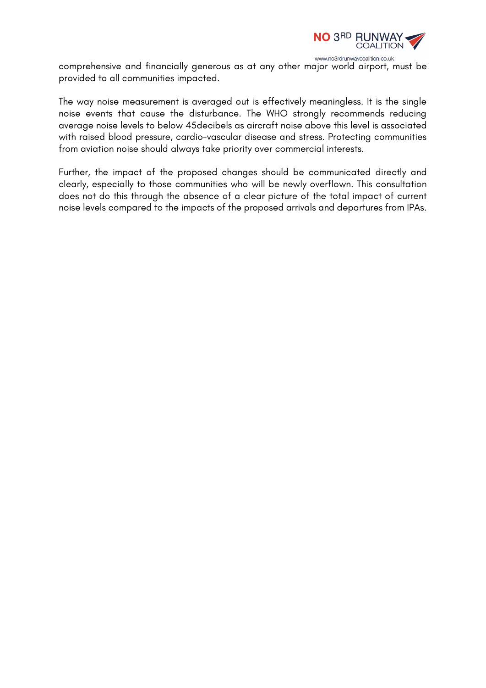

comprehensive and financially generous as at any other major world airport, must be provided to all communities impacted.

The way noise measurement is averaged out is effectively meaningless. It is the single noise events that cause the disturbance. The WHO strongly recommends reducing average noise levels to below 45decibels as aircraft noise above this level is associated with raised blood pressure, cardio-vascular disease and stress. Protecting communities from aviation noise should always take priority over commercial interests.

Further, the impact of the proposed changes should be communicated directly and clearly, especially to those communities who will be newly overflown. This consultation does not do this through the absence of a clear picture of the total impact of current noise levels compared to the impacts of the proposed arrivals and departures from IPAs.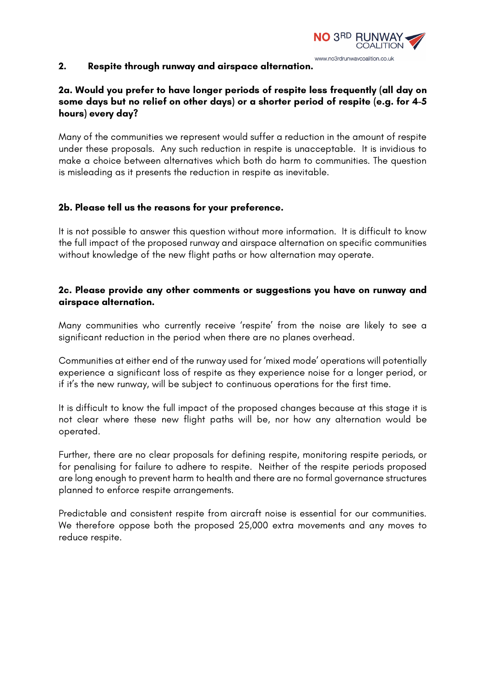

#### **2. Respite through runway and airspace alternation.**

# **2a. Would you prefer to have longer periods of respite less frequently (all day on some days but no relief on other days) or a shorter period of respite (e.g. for 4-5 hours) every day?**

Many of the communities we represent would suffer a reduction in the amount of respite under these proposals. Any such reduction in respite is unacceptable. It is invidious to make a choice between alternatives which both do harm to communities. The question is misleading as it presents the reduction in respite as inevitable.

## **2b. Please tell us the reasons for your preference.**

It is not possible to answer this question without more information. It is difficult to know the full impact of the proposed runway and airspace alternation on specific communities without knowledge of the new flight paths or how alternation may operate.

### **2c. Please provide any other comments or suggestions you have on runway and airspace alternation.**

Many communities who currently receive 'respite' from the noise are likely to see a significant reduction in the period when there are no planes overhead.

Communities at either end of the runway used for 'mixed mode' operations will potentially experience a significant loss of respite as they experience noise for a longer period, or if it's the new runway, will be subject to continuous operations for the first time.

It is difficult to know the full impact of the proposed changes because at this stage it is not clear where these new flight paths will be, nor how any alternation would be operated.

Further, there are no clear proposals for defining respite, monitoring respite periods, or for penalising for failure to adhere to respite. Neither of the respite periods proposed are long enough to prevent harm to health and there are no formal governance structures planned to enforce respite arrangements.

Predictable and consistent respite from aircraft noise is essential for our communities. We therefore oppose both the proposed 25,000 extra movements and any moves to reduce respite.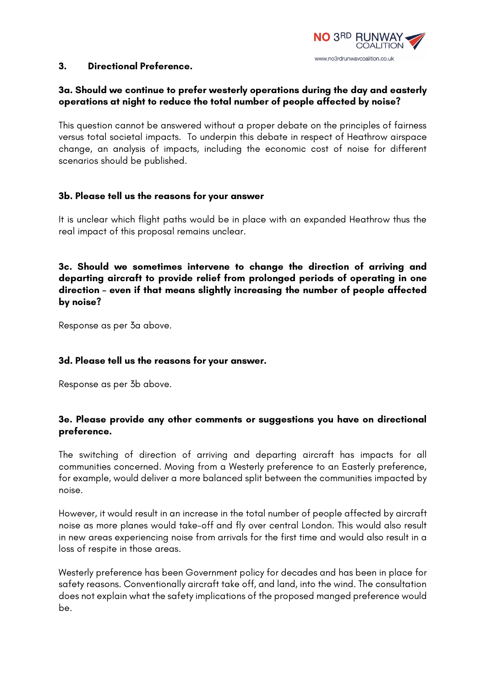

#### **3. Directional Preference.**

### **3a. Should we continue to prefer westerly operations during the day and easterly operations at night to reduce the total number of people affected by noise?**

This question cannot be answered without a proper debate on the principles of fairness versus total societal impacts. To underpin this debate in respect of Heathrow airspace change, an analysis of impacts, including the economic cost of noise for different scenarios should be published.

### **3b. Please tell us the reasons for your answer**

It is unclear which flight paths would be in place with an expanded Heathrow thus the real impact of this proposal remains unclear.

**3c. Should we sometimes intervene to change the direction of arriving and departing aircraft to provide relief from prolonged periods of operating in one direction – even if that means slightly increasing the number of people affected by noise?**

Response as per 3a above.

#### **3d. Please tell us the reasons for your answer.**

Response as per 3b above.

## **3e. Please provide any other comments or suggestions you have on directional preference.**

The switching of direction of arriving and departing aircraft has impacts for all communities concerned. Moving from a Westerly preference to an Easterly preference, for example, would deliver a more balanced split between the communities impacted by noise.

However, it would result in an increase in the total number of people affected by aircraft noise as more planes would take-off and fly over central London. This would also result in new areas experiencing noise from arrivals for the first time and would also result in a loss of respite in those areas.

Westerly preference has been Government policy for decades and has been in place for safety reasons. Conventionally aircraft take off, and land, into the wind. The consultation does not explain what the safety implications of the proposed manged preference would be.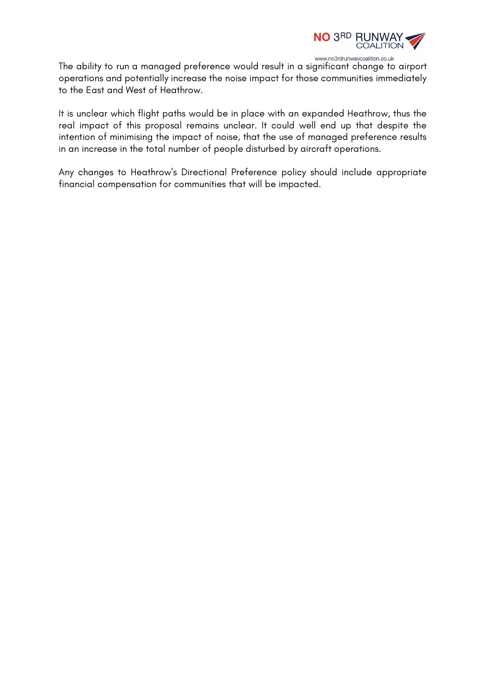

www.no3rdrunwaycoalition.co.uk The ability to run a managed preference would result in a significant change to airport operations and potentially increase the noise impact for those communities immediately to the East and West of Heathrow.

It is unclear which flight paths would be in place with an expanded Heathrow, thus the real impact of this proposal remains unclear. It could well end up that despite the intention of minimising the impact of noise, that the use of managed preference results in an increase in the total number of people disturbed by aircraft operations.

Any changes to Heathrow's Directional Preference policy should include appropriate financial compensation for communities that will be impacted.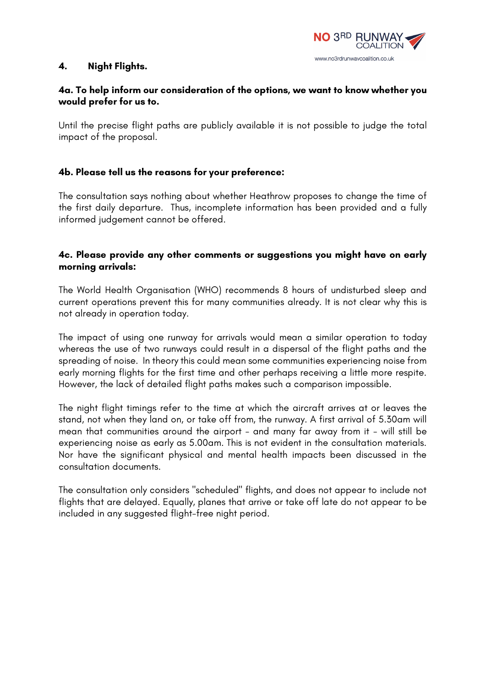

#### **4. Night Flights.**

## **4a. To help inform our consideration of the options, we want to know whether you would prefer for us to.**

Until the precise flight paths are publicly available it is not possible to judge the total impact of the proposal.

## **4b. Please tell us the reasons for your preference:**

The consultation says nothing about whether Heathrow proposes to change the time of the first daily departure. Thus, incomplete information has been provided and a fully informed judgement cannot be offered.

## **4c. Please provide any other comments or suggestions you might have on early morning arrivals:**

The World Health Organisation (WHO) recommends 8 hours of undisturbed sleep and current operations prevent this for many communities already. It is not clear why this is not already in operation today.

The impact of using one runway for arrivals would mean a similar operation to today whereas the use of two runways could result in a dispersal of the flight paths and the spreading of noise. In theory this could mean some communities experiencing noise from early morning flights for the first time and other perhaps receiving a little more respite. However, the lack of detailed flight paths makes such a comparison impossible.

The night flight timings refer to the time at which the aircraft arrives at or leaves the stand, not when they land on, or take off from, the runway. A first arrival of 5.30am will mean that communities around the airport - and many far away from it - will still be experiencing noise as early as 5.00am. This is not evident in the consultation materials. Nor have the significant physical and mental health impacts been discussed in the consultation documents.

The consultation only considers "scheduled" flights, and does not appear to include not flights that are delayed. Equally, planes that arrive or take off late do not appear to be included in any suggested flight-free night period.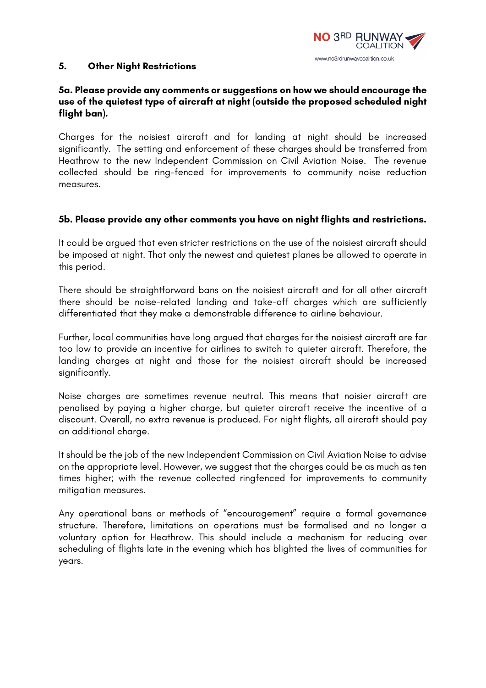

#### **5. Other Night Restrictions**

## **5a. Please provide any comments or suggestions on how we should encourage the use of the quietest type of aircraft at night (outside the proposed scheduled night flight ban).**

Charges for the noisiest aircraft and for landing at night should be increased significantly. The setting and enforcement of these charges should be transferred from Heathrow to the new Independent Commission on Civil Aviation Noise. The revenue collected should be ring-fenced for improvements to community noise reduction measures.

#### **5b. Please provide any other comments you have on night flights and restrictions.**

It could be argued that even stricter restrictions on the use of the noisiest aircraft should be imposed at night. That only the newest and quietest planes be allowed to operate in this period.

There should be straightforward bans on the noisiest aircraft and for all other aircraft there should be noise-related landing and take-off charges which are sufficiently differentiated that they make a demonstrable difference to airline behaviour.

Further, local communities have long argued that charges for the noisiest aircraft are far too low to provide an incentive for airlines to switch to quieter aircraft. Therefore, the landing charges at night and those for the noisiest aircraft should be increased significantly.

Noise charges are sometimes revenue neutral. This means that noisier aircraft are penalised by paying a higher charge, but quieter aircraft receive the incentive of a discount. Overall, no extra revenue is produced. For night flights, all aircraft should pay an additional charge.

It should be the job of the new Independent Commission on Civil Aviation Noise to advise on the appropriate level. However, we suggest that the charges could be as much as ten times higher; with the revenue collected ringfenced for improvements to community mitigation measures.

Any operational bans or methods of "encouragement" require a formal governance structure. Therefore, limitations on operations must be formalised and no longer a voluntary option for Heathrow. This should include a mechanism for reducing over scheduling of flights late in the evening which has blighted the lives of communities for years.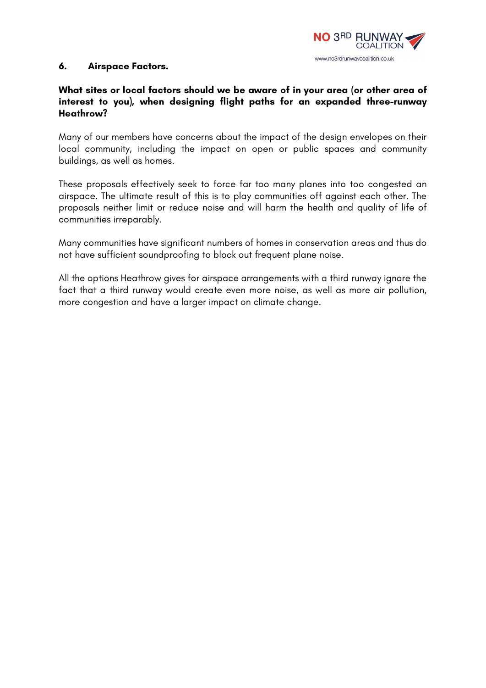

#### **6. Airspace Factors.**

# **What sites or local factors should we be aware of in your area (or other area of interest to you), when designing flight paths for an expanded three-runway Heathrow?**

Many of our members have concerns about the impact of the design envelopes on their local community, including the impact on open or public spaces and community buildings, as well as homes.

These proposals effectively seek to force far too many planes into too congested an airspace. The ultimate result of this is to play communities off against each other. The proposals neither limit or reduce noise and will harm the health and quality of life of communities irreparably.

Many communities have significant numbers of homes in conservation areas and thus do not have sufficient soundproofing to block out frequent plane noise.

All the options Heathrow gives for airspace arrangements with a third runway ignore the fact that a third runway would create even more noise, as well as more air pollution, more congestion and have a larger impact on climate change.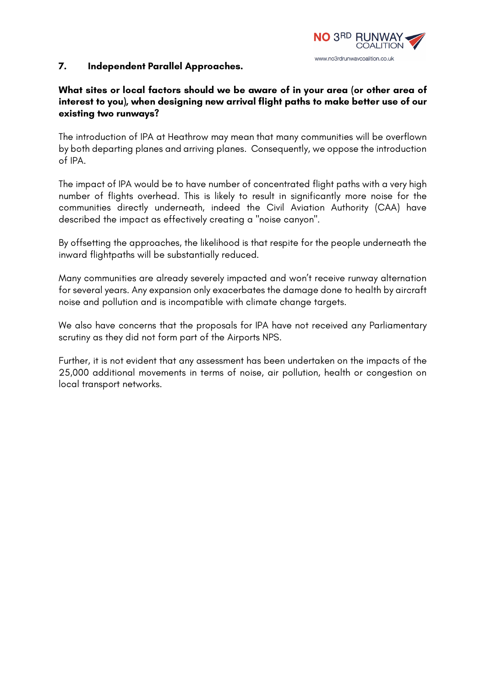

### **7. Independent Parallel Approaches.**

## **What sites or local factors should we be aware of in your area (or other area of interest to you), when designing new arrival flight paths to make better use of our existing two runways?**

The introduction of IPA at Heathrow may mean that many communities will be overflown by both departing planes and arriving planes. Consequently, we oppose the introduction of IPA.

The impact of IPA would be to have number of concentrated flight paths with a very high number of flights overhead. This is likely to result in significantly more noise for the communities directly underneath, indeed the Civil Aviation Authority (CAA) have described the impact as effectively creating a "noise canyon".

By offsetting the approaches, the likelihood is that respite for the people underneath the inward flightpaths will be substantially reduced.

Many communities are already severely impacted and won't receive runway alternation for several years. Any expansion only exacerbates the damage done to health by aircraft noise and pollution and is incompatible with climate change targets.

We also have concerns that the proposals for IPA have not received any Parliamentary scrutiny as they did not form part of the Airports NPS.

Further, it is not evident that any assessment has been undertaken on the impacts of the 25,000 additional movements in terms of noise, air pollution, health or congestion on local transport networks.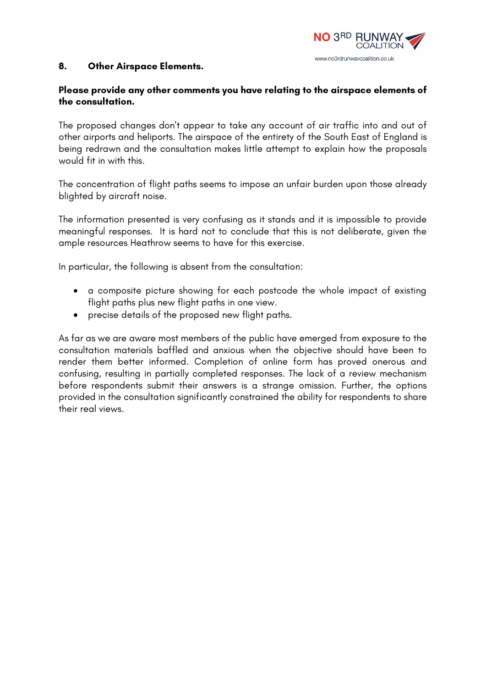

#### **8. Other Airspace Elements.**

## **Please provide any other comments you have relating to the airspace elements of the consultation.**

The proposed changes don't appear to take any account of air traffic into and out of other airports and heliports. The airspace of the entirety of the South East of England is being redrawn and the consultation makes little attempt to explain how the proposals would fit in with this.

The concentration of flight paths seems to impose an unfair burden upon those already blighted by aircraft noise.

The information presented is very confusing as it stands and it is impossible to provide meaningful responses. It is hard not to conclude that this is not deliberate, given the ample resources Heathrow seems to have for this exercise.

In particular, the following is absent from the consultation:

- a composite picture showing for each postcode the whole impact of existing flight paths plus new flight paths in one view.
- precise details of the proposed new flight paths.

As far as we are aware most members of the public have emerged from exposure to the consultation materials baffled and anxious when the objective should have been to render them better informed. Completion of online form has proved onerous and confusing, resulting in partially completed responses. The lack of a review mechanism before respondents submit their answers is a strange omission. Further, the options provided in the consultation significantly constrained the ability for respondents to share their real views.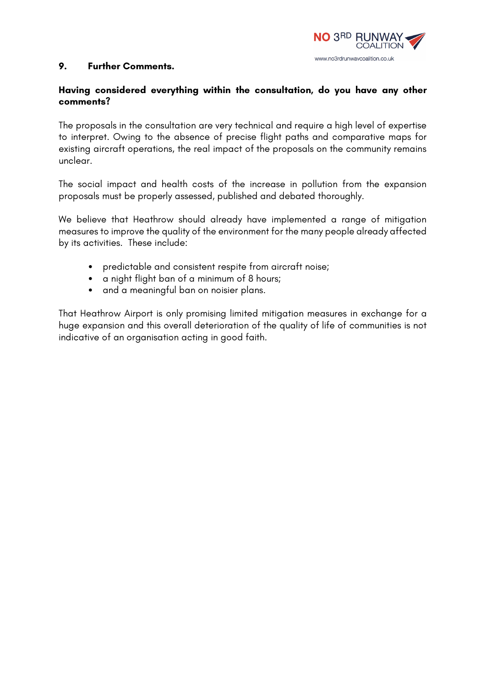

#### **9. Further Comments.**

### **Having considered everything within the consultation, do you have any other comments?**

The proposals in the consultation are very technical and require a high level of expertise to interpret. Owing to the absence of precise flight paths and comparative maps for existing aircraft operations, the real impact of the proposals on the community remains unclear.

The social impact and health costs of the increase in pollution from the expansion proposals must be properly assessed, published and debated thoroughly.

We believe that Heathrow should already have implemented a range of mitigation measures to improve the quality of the environment for the many people already affected by its activities. These include:

- predictable and consistent respite from aircraft noise;
- a night flight ban of a minimum of 8 hours;
- and a meaningful ban on noisier plans.

That Heathrow Airport is only promising limited mitigation measures in exchange for a huge expansion and this overall deterioration of the quality of life of communities is not indicative of an organisation acting in good faith.